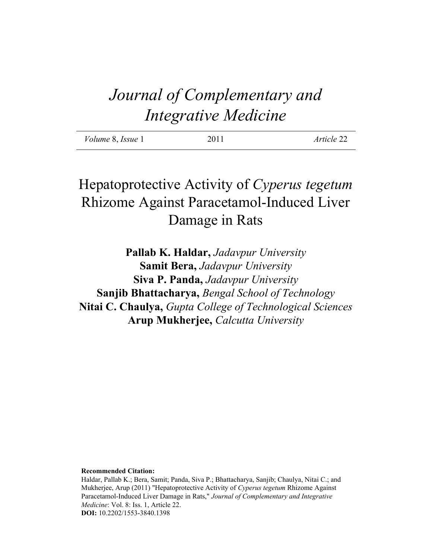# *Journal of Complementary and Integrative Medicine*

| <i>Volume 8, Issue 1</i> | 2011 | Article 22 |
|--------------------------|------|------------|
|                          |      |            |

## Hepatoprotective Activity of *Cyperus tegetum* Rhizome Against Paracetamol-Induced Liver Damage in Rats

**Pallab K. Haldar,** *Jadavpur University* **Samit Bera,** *Jadavpur University* **Siva P. Panda,** *Jadavpur University* **Sanjib Bhattacharya,** *Bengal School of Technology* **Nitai C. Chaulya,** *Gupta College of Technological Sciences* **Arup Mukherjee,** *Calcutta University*

#### **Recommended Citation:**

Haldar, Pallab K.; Bera, Samit; Panda, Siva P.; Bhattacharya, Sanjib; Chaulya, Nitai C.; and Mukherjee, Arup (2011) "Hepatoprotective Activity of *Cyperus tegetum* Rhizome Against Paracetamol-Induced Liver Damage in Rats," *Journal of Complementary and Integrative Medicine*: Vol. 8: Iss. 1, Article 22. **DOI:** 10.2202/1553-3840.1398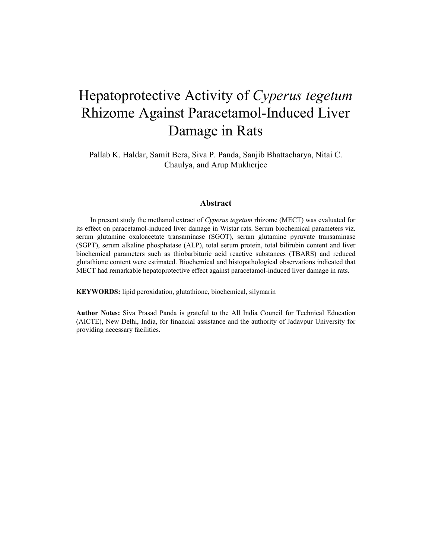## Hepatoprotective Activity of *Cyperus tegetum* Rhizome Against Paracetamol-Induced Liver Damage in Rats

Pallab K. Haldar, Samit Bera, Siva P. Panda, Sanjib Bhattacharya, Nitai C. Chaulya, and Arup Mukherjee

#### **Abstract**

In present study the methanol extract of *Cyperus tegetum* rhizome (MECT) was evaluated for its effect on paracetamol-induced liver damage in Wistar rats. Serum biochemical parameters viz. serum glutamine oxaloacetate transaminase (SGOT), serum glutamine pyruvate transaminase (SGPT), serum alkaline phosphatase (ALP), total serum protein, total bilirubin content and liver biochemical parameters such as thiobarbituric acid reactive substances (TBARS) and reduced glutathione content were estimated. Biochemical and histopathological observations indicated that MECT had remarkable hepatoprotective effect against paracetamol-induced liver damage in rats.

**KEYWORDS:** lipid peroxidation, glutathione, biochemical, silymarin

**Author Notes:** Siva Prasad Panda is grateful to the All India Council for Technical Education (AICTE), New Delhi, India, for financial assistance and the authority of Jadavpur University for providing necessary facilities.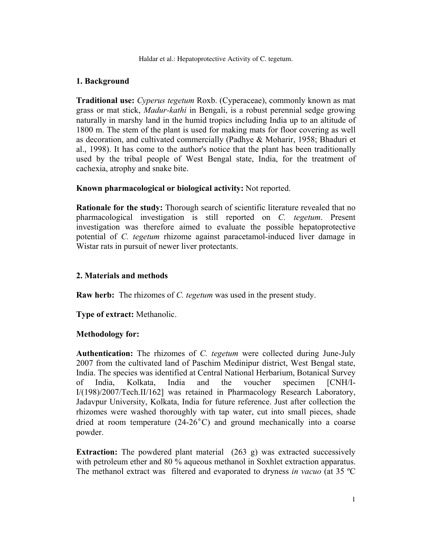Haldar et al.: Hepatoprotective Activity of C. tegetum.

### **1. Background**

**Traditional use:** *Cyperus tegetum* Roxb. (Cyperaceae), commonly known as mat grass or mat stick, *Madur-kathi* in Bengali, is a robust perennial sedge growing naturally in marshy land in the humid tropics including India up to an altitude of 1800 m. The stem of the plant is used for making mats for floor covering as well as decoration, and cultivated commercially (Padhye & Moharir, 1958; Bhaduri et al., 1998). It has come to the author's notice that the plant has been traditionally used by the tribal people of West Bengal state, India, for the treatment of cachexia, atrophy and snake bite.

#### **Known pharmacological or biological activity:** Not reported.

**Rationale for the study:** Thorough search of scientific literature revealed that no pharmacological investigation is still reported on *C. tegetum*. Present investigation was therefore aimed to evaluate the possible hepatoprotective potential of *C. tegetum* rhizome against paracetamol-induced liver damage in Wistar rats in pursuit of newer liver protectants.

#### **2. Materials and methods**

**Raw herb:** The rhizomes of *C. tegetum* was used in the present study.

**Type of extract:** Methanolic.

#### **Methodology for:**

**Authentication:** The rhizomes of *C. tegetum* were collected during June-July 2007 from the cultivated land of Paschim Medinipur district, West Bengal state, India. The species was identified at Central National Herbarium, Botanical Survey of India, Kolkata, India and the voucher specimen [CNH/I-I/(198)/2007/Tech.II/162] was retained in Pharmacology Research Laboratory, Jadavpur University, Kolkata, India for future reference. Just after collection the rhizomes were washed thoroughly with tap water, cut into small pieces, shade dried at room temperature  $(24{\text -}26^{\circ}C)$  and ground mechanically into a coarse powder.

**Extraction:** The powdered plant material (263 g) was extracted successively with petroleum ether and 80 % aqueous methanol in Soxhlet extraction apparatus. The methanol extract was filtered and evaporated to dryness *in vacuo* (at 35 ºC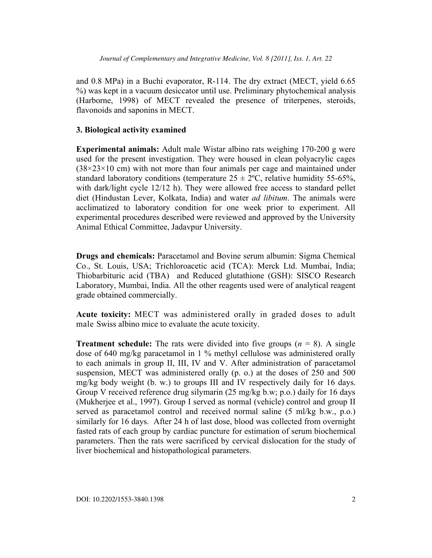and 0.8 MPa) in a Buchi evaporator, R-114. The dry extract (MECT, yield 6.65 %) was kept in a vacuum desiccator until use. Preliminary phytochemical analysis (Harborne, 1998) of MECT revealed the presence of triterpenes, steroids, flavonoids and saponins in MECT.

#### **3. Biological activity examined**

**Experimental animals:** Adult male Wistar albino rats weighing 170-200 g were used for the present investigation. They were housed in clean polyacrylic cages  $(38\times23\times10$  cm) with not more than four animals per cage and maintained under standard laboratory conditions (temperature  $25 \pm 2$ °C, relative humidity 55-65%, with dark/light cycle 12/12 h). They were allowed free access to standard pellet diet (Hindustan Lever, Kolkata, India) and water *ad libitum*. The animals were acclimatized to laboratory condition for one week prior to experiment. All experimental procedures described were reviewed and approved by the University Animal Ethical Committee, Jadavpur University.

**Drugs and chemicals:** Paracetamol and Bovine serum albumin: Sigma Chemical Co., St. Louis, USA; Trichloroacetic acid (TCA): Merck Ltd. Mumbai, India; Thiobarbituric acid (TBA) and Reduced glutathione (GSH): SISCO Research Laboratory, Mumbai, India. All the other reagents used were of analytical reagent grade obtained commercially.

**Acute toxicity:** MECT was administered orally in graded doses to adult male Swiss albino mice to evaluate the acute toxicity.

**Treatment schedule:** The rats were divided into five groups  $(n = 8)$ . A single dose of 640 mg/kg paracetamol in 1 % methyl cellulose was administered orally to each animals in group II, III, IV and V. After administration of paracetamol suspension, MECT was administered orally (p. o.) at the doses of 250 and 500 mg/kg body weight (b. w.) to groups III and IV respectively daily for 16 days. Group V received reference drug silymarin (25 mg/kg b.w; p.o.) daily for 16 days (Mukherjee et al., 1997). Group I served as normal (vehicle) control and group II served as paracetamol control and received normal saline (5 ml/kg b.w., p.o.) similarly for 16 days. After 24 h of last dose, blood was collected from overnight fasted rats of each group by cardiac puncture for estimation of serum biochemical parameters. Then the rats were sacrificed by cervical dislocation for the study of liver biochemical and histopathological parameters.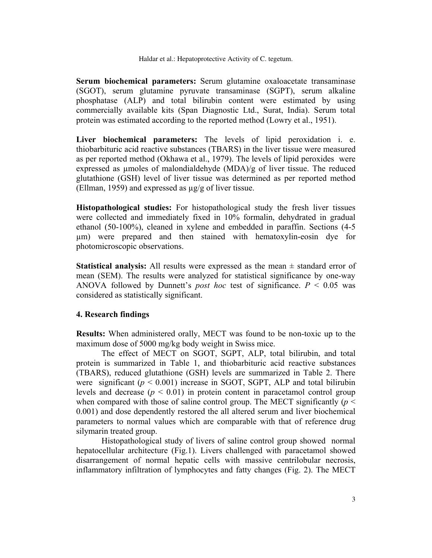**Serum biochemical parameters:** Serum glutamine oxaloacetate transaminase (SGOT), serum glutamine pyruvate transaminase (SGPT), serum alkaline phosphatase (ALP) and total bilirubin content were estimated by using commercially available kits (Span Diagnostic Ltd., Surat, India). Serum total protein was estimated according to the reported method (Lowry et al., 1951).

**Liver biochemical parameters:** The levels of lipid peroxidation i. e. thiobarbituric acid reactive substances (TBARS) in the liver tissue were measured as per reported method (Okhawa et al., 1979). The levels of lipid peroxides were expressed as µmoles of malondialdehyde (MDA)/g of liver tissue. The reduced glutathione (GSH) level of liver tissue was determined as per reported method (Ellman, 1959) and expressed as µg/g of liver tissue.

**Histopathological studies:** For histopathological study the fresh liver tissues were collected and immediately fixed in 10% formalin, dehydrated in gradual ethanol (50-100%), cleaned in xylene and embedded in paraffin. Sections (4-5 µm) were prepared and then stained with hematoxylin-eosin dye for photomicroscopic observations.

**Statistical analysis:** All results were expressed as the mean  $\pm$  standard error of mean (SEM). The results were analyzed for statistical significance by one-way ANOVA followed by Dunnett's *post hoc* test of significance.  $P < 0.05$  was considered as statistically significant.

#### **4. Research findings**

**Results:** When administered orally, MECT was found to be non-toxic up to the maximum dose of 5000 mg/kg body weight in Swiss mice.

The effect of MECT on SGOT, SGPT, ALP, total bilirubin, and total protein is summarized in Table 1, and thiobarbituric acid reactive substances (TBARS), reduced glutathione (GSH) levels are summarized in Table 2. There were significant  $(p < 0.001)$  increase in SGOT, SGPT, ALP and total bilirubin levels and decrease  $(p < 0.01)$  in protein content in paracetamol control group when compared with those of saline control group. The MECT significantly  $(p \leq$ 0.001) and dose dependently restored the all altered serum and liver biochemical parameters to normal values which are comparable with that of reference drug silymarin treated group.

Histopathological study of livers of saline control group showed normal hepatocellular architecture (Fig.1). Livers challenged with paracetamol showed disarrangement of normal hepatic cells with massive centrilobular necrosis, inflammatory infiltration of lymphocytes and fatty changes (Fig. 2). The MECT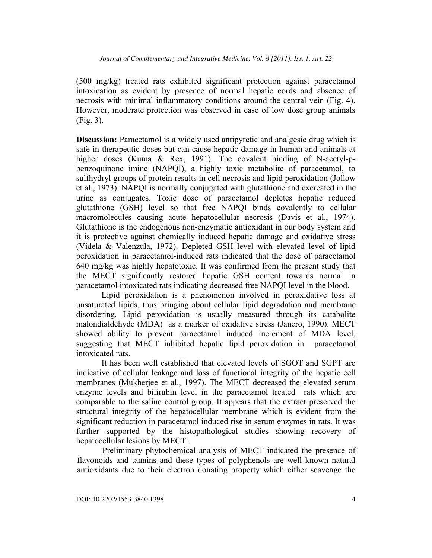(500 mg/kg) treated rats exhibited significant protection against paracetamol intoxication as evident by presence of normal hepatic cords and absence of necrosis with minimal inflammatory conditions around the central vein (Fig. 4). However, moderate protection was observed in case of low dose group animals (Fig. 3).

**Discussion:** Paracetamol is a widely used antipyretic and analgesic drug which is safe in therapeutic doses but can cause hepatic damage in human and animals at higher doses (Kuma & Rex, 1991). The covalent binding of N-acetyl-pbenzoquinone imine (NAPQI), a highly toxic metabolite of paracetamol, to sulfhydryl groups of protein results in cell necrosis and lipid peroxidation (Jollow et al., 1973). NAPQI is normally conjugated with glutathione and excreated in the urine as conjugates. Toxic dose of paracetamol depletes hepatic reduced glutathione (GSH) level so that free NAPQI binds covalently to cellular macromolecules causing acute hepatocellular necrosis (Davis et al., 1974). Glutathione is the endogenous non-enzymatic antioxidant in our body system and it is protective against chemically induced hepatic damage and oxidative stress (Videla & Valenzula, 1972). Depleted GSH level with elevated level of lipid peroxidation in paracetamol-induced rats indicated that the dose of paracetamol 640 mg/kg was highly hepatotoxic. It was confirmed from the present study that the MECT significantly restored hepatic GSH content towards normal in paracetamol intoxicated rats indicating decreased free NAPQI level in the blood.

Lipid peroxidation is a phenomenon involved in peroxidative loss at unsaturated lipids, thus bringing about cellular lipid degradation and membrane disordering. Lipid peroxidation is usually measured through its catabolite malondialdehyde (MDA) as a marker of oxidative stress (Janero, 1990). MECT showed ability to prevent paracetamol induced increment of MDA level, suggesting that MECT inhibited hepatic lipid peroxidation in paracetamol intoxicated rats.

It has been well established that elevated levels of SGOT and SGPT are indicative of cellular leakage and loss of functional integrity of the hepatic cell membranes (Mukherjee et al., 1997). The MECT decreased the elevated serum enzyme levels and bilirubin level in the paracetamol treated rats which are comparable to the saline control group. It appears that the extract preserved the structural integrity of the hepatocellular membrane which is evident from the significant reduction in paracetamol induced rise in serum enzymes in rats. It was further supported by the histopathological studies showing recovery of hepatocellular lesions by MECT .

Preliminary phytochemical analysis of MECT indicated the presence of flavonoids and tannins and these types of polyphenols are well known natural antioxidants due to their electron donating property which either scavenge the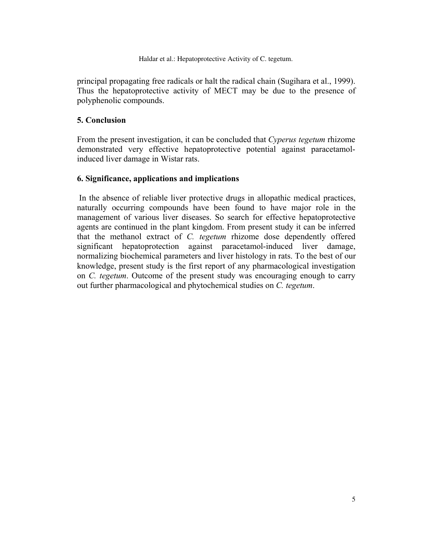Haldar et al.: Hepatoprotective Activity of C. tegetum.

principal propagating free radicals or halt the radical chain (Sugihara et al., 1999). Thus the hepatoprotective activity of MECT may be due to the presence of polyphenolic compounds.

### **5. Conclusion**

From the present investigation, it can be concluded that *Cyperus tegetum* rhizome demonstrated very effective hepatoprotective potential against paracetamolinduced liver damage in Wistar rats.

### **6. Significance, applications and implications**

 In the absence of reliable liver protective drugs in allopathic medical practices, naturally occurring compounds have been found to have major role in the management of various liver diseases. So search for effective hepatoprotective agents are continued in the plant kingdom. From present study it can be inferred that the methanol extract of *C. tegetum* rhizome dose dependently offered significant hepatoprotection against paracetamol-induced liver damage, normalizing biochemical parameters and liver histology in rats. To the best of our knowledge, present study is the first report of any pharmacological investigation on *C. tegetum*. Outcome of the present study was encouraging enough to carry out further pharmacological and phytochemical studies on *C. tegetum*.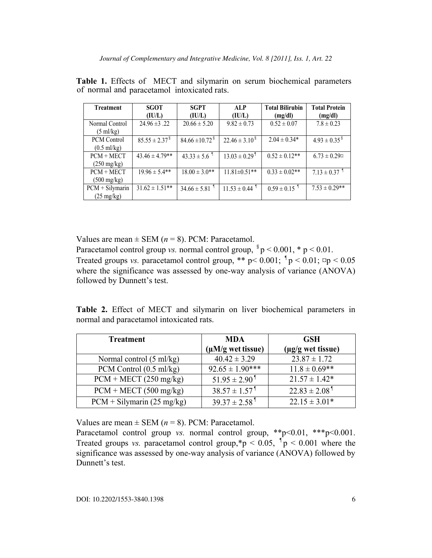| <b>Treatment</b>      | <b>SGOT</b>                 | <b>SGPT</b>                    | <b>ALP</b>                    | <b>Total Bilirubin</b> | <b>Total Protein</b>         |
|-----------------------|-----------------------------|--------------------------------|-------------------------------|------------------------|------------------------------|
|                       | (IU/L)                      | (IU/L)                         | (IU/L)                        | (mg/dl)                | (mg/dl)                      |
| Normal Control        | $24.96 \pm 3.22$            | $20.66 \pm 5.20$               | $9.82 \pm 0.73$               | $0.52 \pm 0.07$        | $7.8 \pm 0.23$               |
| $(5 \text{ ml/kg})$   |                             |                                |                               |                        |                              |
| <b>PCM</b> Control    | $85.55 \pm 2.37^{\text{8}}$ | $84.66 \pm 10.72$ <sup>§</sup> | $22.46 \pm 3.10^8$            | $2.04 \pm 0.34*$       | $4.93 \pm 0.35^{\text{}}$    |
| $(0.5 \text{ ml/kg})$ |                             |                                |                               |                        |                              |
| $PCM + MECT$          | $43.46 \pm 4.79**$          | $43.33 \pm 5.6$                | $13.03 \pm 0.29$ <sup>1</sup> | $0.52 \pm 0.12$ **     | $6.73 \pm 0.29$ ¤            |
| $(250 \text{ mg/kg})$ |                             |                                |                               |                        |                              |
| $PCM + MECT$          | $19.96 \pm 5.4**$           | $18.00 \pm 3.0**$              | $11.81 \pm 0.51$ **           | $0.33 \pm 0.02$ **     | $7.13 \pm 0.37$ <sup>1</sup> |
| $(500 \text{ mg/kg})$ |                             |                                |                               |                        |                              |
| $PCM + Silymarin$     | $31.62 \pm 1.51**$          | $34.66 \pm 5.81$               | $11.53 \pm 0.44$ <sup>1</sup> | $0.59 \pm 0.15$        | $7.53 \pm 0.29**$            |
| $(25 \text{ mg/kg})$  |                             |                                |                               |                        |                              |

**Table 1.** Effects of MECT and silymarin on serum biochemical parameters of normal and paracetamol intoxicated rats.

Values are mean  $\pm$  SEM ( $n = 8$ ). PCM: Paracetamol.

Paracetamol control group *vs.* normal control group,  ${}^{8}p$  < 0.001,  $*$  p < 0.01. Treated groups *vs.* paracetamol control group, \*\*  $p < 0.001$ ;  $p < 0.01$ ;  $p < 0.05$ where the significance was assessed by one-way analysis of variance (ANOVA) followed by Dunnett's test.

**Table 2.** Effect of MECT and silymarin on liver biochemical parameters in normal and paracetamol intoxicated rats.

| <b>Treatment</b>                   | <b>MDA</b>                    | <b>GSH</b>                    |  |
|------------------------------------|-------------------------------|-------------------------------|--|
|                                    | $(\mu M/g$ wet tissue)        | $(\mu g/g$ wet tissue)        |  |
| Normal control $(5 \text{ ml/kg})$ | $40.42 \pm 3.29$              | $23.87 \pm 1.72$              |  |
| PCM Control $(0.5 \text{ ml/kg})$  | $92.65 \pm 1.90***$           | $11.8 \pm 0.69$ **            |  |
| $PCM + MECT (250 mg/kg)$           | $51.95 \pm 2.90$ <sup>1</sup> | $21.57 \pm 1.42*$             |  |
| $PCM + MECT (500 mg/kg)$           | $38.57 \pm 1.57$ <sup>1</sup> | $22.83 \pm 2.08$ <sup>1</sup> |  |
| $PCM + Silymarin (25 mg/kg)$       | $39.37 \pm 2.58$ <sup>1</sup> | $22.15 \pm 3.01*$             |  |

Values are mean  $\pm$  SEM ( $n = 8$ ). PCM: Paracetamol.

Paracetamol control group *vs.* normal control group, \*\*p<0.01, \*\*\*p<0.001. Treated groups *vs.* paracetamol control group,  $p > 0.05$ ,  $p > 0.001$  where the significance was assessed by one-way analysis of variance (ANOVA) followed by Dunnett's test.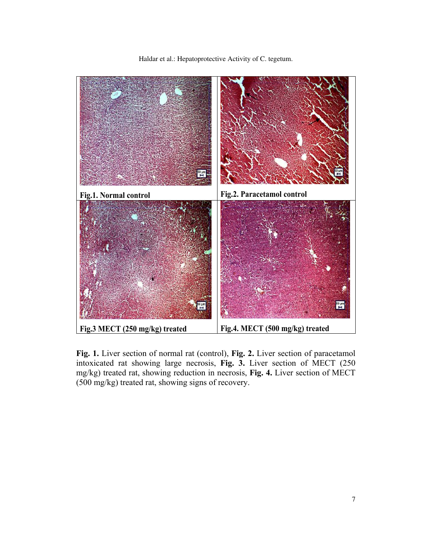Haldar et al.: Hepatoprotective Activity of C. tegetum.



**Fig. 1.** Liver section of normal rat (control), **Fig. 2.** Liver section of paracetamol intoxicated rat showing large necrosis, **Fig. 3.** Liver section of MECT (250 mg/kg) treated rat, showing reduction in necrosis, **Fig. 4.** Liver section of MECT (500 mg/kg) treated rat, showing signs of recovery.